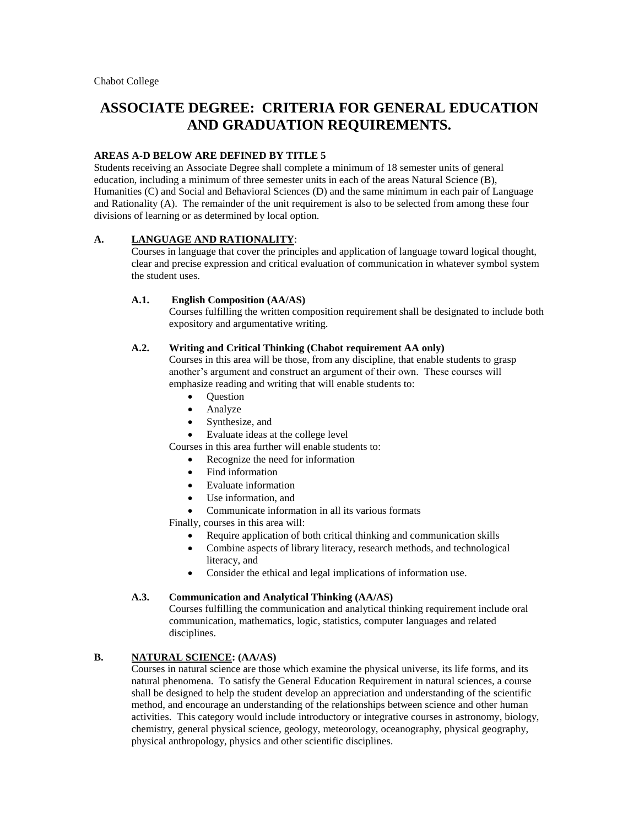# **ASSOCIATE DEGREE: CRITERIA FOR GENERAL EDUCATION AND GRADUATION REQUIREMENTS.**

# **AREAS A-D BELOW ARE DEFINED BY TITLE 5**

Students receiving an Associate Degree shall complete a minimum of 18 semester units of general education, including a minimum of three semester units in each of the areas Natural Science (B), Humanities (C) and Social and Behavioral Sciences (D) and the same minimum in each pair of Language and Rationality (A). The remainder of the unit requirement is also to be selected from among these four divisions of learning or as determined by local option.

## **A. LANGUAGE AND RATIONALITY**:

Courses in language that cover the principles and application of language toward logical thought, clear and precise expression and critical evaluation of communication in whatever symbol system the student uses.

#### **A.1. English Composition (AA/AS)**

Courses fulfilling the written composition requirement shall be designated to include both expository and argumentative writing.

#### **A.2. Writing and Critical Thinking (Chabot requirement AA only)**

Courses in this area will be those, from any discipline, that enable students to grasp another's argument and construct an argument of their own. These courses will emphasize reading and writing that will enable students to:

- **Question**
- Analyze
- Synthesize, and
- Evaluate ideas at the college level

Courses in this area further will enable students to:

- Recognize the need for information
- Find information
- Evaluate information
- Use information, and
- Communicate information in all its various formats

Finally, courses in this area will:

- Require application of both critical thinking and communication skills
- Combine aspects of library literacy, research methods, and technological literacy, and
- Consider the ethical and legal implications of information use.

## **A.3. Communication and Analytical Thinking (AA/AS)**

Courses fulfilling the communication and analytical thinking requirement include oral communication, mathematics, logic, statistics, computer languages and related disciplines.

# **B. NATURAL SCIENCE: (AA/AS)**

Courses in natural science are those which examine the physical universe, its life forms, and its natural phenomena. To satisfy the General Education Requirement in natural sciences, a course shall be designed to help the student develop an appreciation and understanding of the scientific method, and encourage an understanding of the relationships between science and other human activities. This category would include introductory or integrative courses in astronomy, biology, chemistry, general physical science, geology, meteorology, oceanography, physical geography, physical anthropology, physics and other scientific disciplines.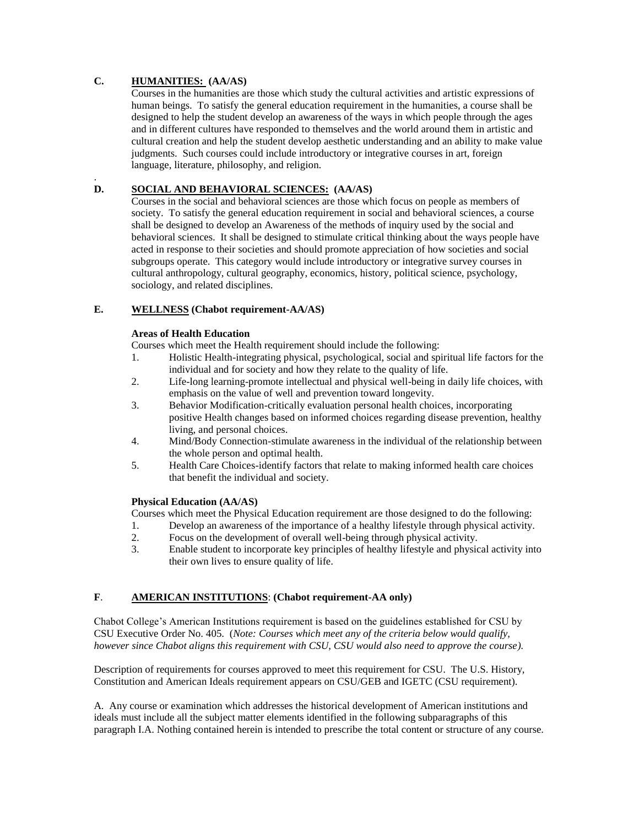# **C. HUMANITIES: (AA/AS)**

Courses in the humanities are those which study the cultural activities and artistic expressions of human beings. To satisfy the general education requirement in the humanities, a course shall be designed to help the student develop an awareness of the ways in which people through the ages and in different cultures have responded to themselves and the world around them in artistic and cultural creation and help the student develop aesthetic understanding and an ability to make value judgments. Such courses could include introductory or integrative courses in art, foreign language, literature, philosophy, and religion.

#### . **D. SOCIAL AND BEHAVIORAL SCIENCES: (AA/AS)**

Courses in the social and behavioral sciences are those which focus on people as members of society. To satisfy the general education requirement in social and behavioral sciences, a course shall be designed to develop an Awareness of the methods of inquiry used by the social and behavioral sciences. It shall be designed to stimulate critical thinking about the ways people have acted in response to their societies and should promote appreciation of how societies and social subgroups operate. This category would include introductory or integrative survey courses in cultural anthropology, cultural geography, economics, history, political science, psychology, sociology, and related disciplines.

# **E. WELLNESS (Chabot requirement-AA/AS)**

## **Areas of Health Education**

Courses which meet the Health requirement should include the following:

- 1. Holistic Health-integrating physical, psychological, social and spiritual life factors for the individual and for society and how they relate to the quality of life.
- 2. Life-long learning-promote intellectual and physical well-being in daily life choices, with emphasis on the value of well and prevention toward longevity.
- 3. Behavior Modification-critically evaluation personal health choices, incorporating positive Health changes based on informed choices regarding disease prevention, healthy living, and personal choices.
- 4. Mind/Body Connection-stimulate awareness in the individual of the relationship between the whole person and optimal health.
- 5. Health Care Choices-identify factors that relate to making informed health care choices that benefit the individual and society.

## **Physical Education (AA/AS)**

Courses which meet the Physical Education requirement are those designed to do the following:

- 1. Develop an awareness of the importance of a healthy lifestyle through physical activity.
- 2. Focus on the development of overall well-being through physical activity.
- 3. Enable student to incorporate key principles of healthy lifestyle and physical activity into their own lives to ensure quality of life.

# **F**. **AMERICAN INSTITUTIONS**: **(Chabot requirement-AA only)**

Chabot College's American Institutions requirement is based on the guidelines established for CSU by CSU Executive Order No. 405. (*Note: Courses which meet any of the criteria below would qualify, however since Chabot aligns this requirement with CSU, CSU would also need to approve the course).*

Description of requirements for courses approved to meet this requirement for CSU. The U.S. History, Constitution and American Ideals requirement appears on CSU/GEB and IGETC (CSU requirement).

A. Any course or examination which addresses the historical development of American institutions and ideals must include all the subject matter elements identified in the following subparagraphs of this paragraph I.A. Nothing contained herein is intended to prescribe the total content or structure of any course.